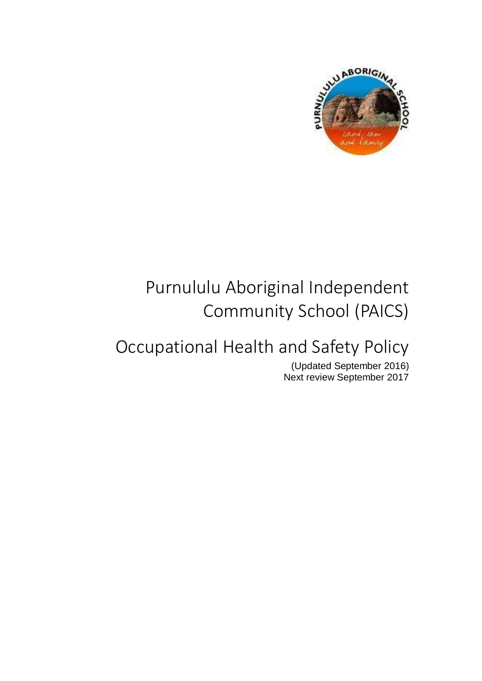

# Purnululu Aboriginal Independent Community School (PAICS)

# Occupational Health and Safety Policy

(Updated September 2016) Next review September 2017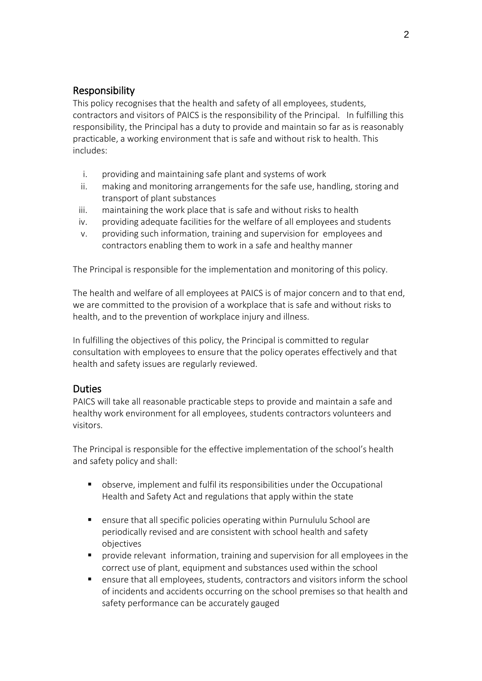## Responsibility

This policy recognises that the health and safety of all employees, students, contractors and visitors of PAICS is the responsibility of the Principal. In fulfilling this responsibility, the Principal has a duty to provide and maintain so far as is reasonably practicable, a working environment that is safe and without risk to health. This includes:

- i. providing and maintaining safe plant and systems of work
- ii. making and monitoring arrangements for the safe use, handling, storing and transport of plant substances
- iii. maintaining the work place that is safe and without risks to health
- iv. providing adequate facilities for the welfare of all employees and students
- v. providing such information, training and supervision for employees and contractors enabling them to work in a safe and healthy manner

The Principal is responsible for the implementation and monitoring of this policy.

The health and welfare of all employees at PAICS is of major concern and to that end, we are committed to the provision of a workplace that is safe and without risks to health, and to the prevention of workplace injury and illness.

In fulfilling the objectives of this policy, the Principal is committed to regular consultation with employees to ensure that the policy operates effectively and that health and safety issues are regularly reviewed.

## **Duties**

PAICS will take all reasonable practicable steps to provide and maintain a safe and healthy work environment for all employees, students contractors volunteers and visitors.

The Principal is responsible for the effective implementation of the school's health and safety policy and shall:

- observe, implement and fulfil its responsibilities under the Occupational Health and Safety Act and regulations that apply within the state
- ensure that all specific policies operating within Purnululu School are periodically revised and are consistent with school health and safety objectives
- provide relevant information, training and supervision for all employees in the correct use of plant, equipment and substances used within the school
- ensure that all employees, students, contractors and visitors inform the school of incidents and accidents occurring on the school premises so that health and safety performance can be accurately gauged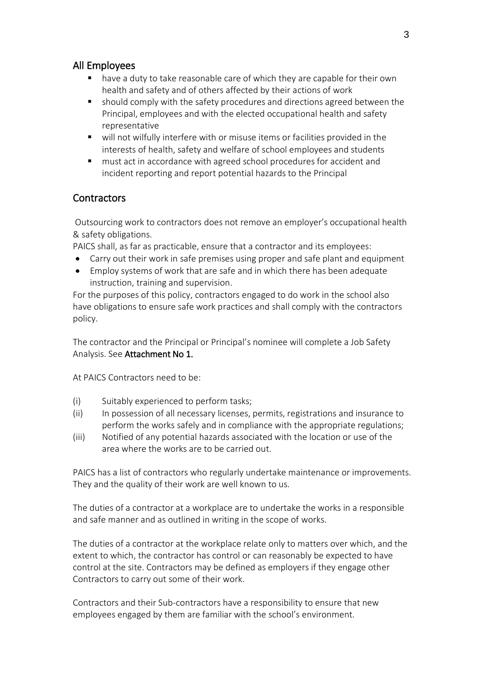## All Employees

- have a duty to take reasonable care of which they are capable for their own health and safety and of others affected by their actions of work
- should comply with the safety procedures and directions agreed between the Principal, employees and with the elected occupational health and safety representative
- will not wilfully interfere with or misuse items or facilities provided in the interests of health, safety and welfare of school employees and students
- must act in accordance with agreed school procedures for accident and incident reporting and report potential hazards to the Principal

## **Contractors**

Outsourcing work to contractors does not remove an employer's occupational health & safety obligations.

PAICS shall, as far as practicable, ensure that a contractor and its employees:

- Carry out their work in safe premises using proper and safe plant and equipment
- Employ systems of work that are safe and in which there has been adequate instruction, training and supervision.

For the purposes of this policy, contractors engaged to do work in the school also have obligations to ensure safe work practices and shall comply with the contractors policy.

The contractor and the Principal or Principal's nominee will complete a Job Safety Analysis. See Attachment No 1.

At PAICS Contractors need to be:

- (i) Suitably experienced to perform tasks;
- (ii) In possession of all necessary licenses, permits, registrations and insurance to perform the works safely and in compliance with the appropriate regulations;
- (iii) Notified of any potential hazards associated with the location or use of the area where the works are to be carried out.

PAICS has a list of contractors who regularly undertake maintenance or improvements. They and the quality of their work are well known to us.

The duties of a contractor at a workplace are to undertake the works in a responsible and safe manner and as outlined in writing in the scope of works.

The duties of a contractor at the workplace relate only to matters over which, and the extent to which, the contractor has control or can reasonably be expected to have control at the site. Contractors may be defined as employers if they engage other Contractors to carry out some of their work.

Contractors and their Sub-contractors have a responsibility to ensure that new employees engaged by them are familiar with the school's environment.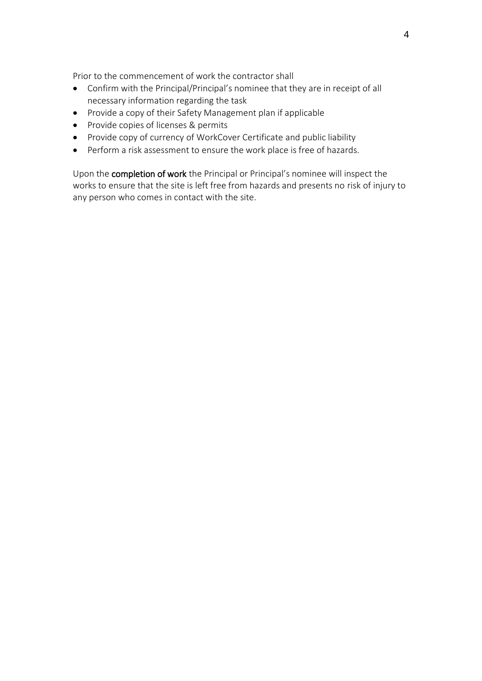Prior to the commencement of work the contractor shall

- Confirm with the Principal/Principal's nominee that they are in receipt of all necessary information regarding the task
- Provide a copy of their Safety Management plan if applicable
- Provide copies of licenses & permits
- Provide copy of currency of WorkCover Certificate and public liability
- Perform a risk assessment to ensure the work place is free of hazards.

Upon the completion of work the Principal or Principal's nominee will inspect the works to ensure that the site is left free from hazards and presents no risk of injury to any person who comes in contact with the site.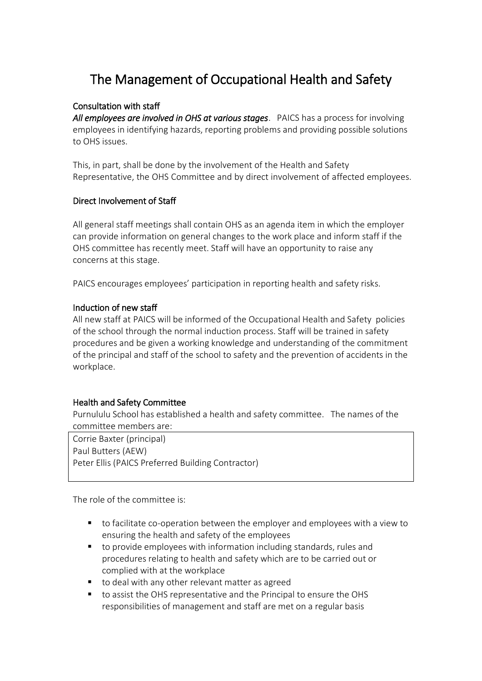## The Management of Occupational Health and Safety

### Consultation with staff

*All employees are involved in OHS at various stages*. PAICS has a process for involving employees in identifying hazards, reporting problems and providing possible solutions to OHS issues.

This, in part, shall be done by the involvement of the Health and Safety Representative, the OHS Committee and by direct involvement of affected employees.

### Direct Involvement of Staff

All general staff meetings shall contain OHS as an agenda item in which the employer can provide information on general changes to the work place and inform staff if the OHS committee has recently meet. Staff will have an opportunity to raise any concerns at this stage.

PAICS encourages employees' participation in reporting health and safety risks.

### Induction of new staff

All new staff at PAICS will be informed of the Occupational Health and Safety policies of the school through the normal induction process. Staff will be trained in safety procedures and be given a working knowledge and understanding of the commitment of the principal and staff of the school to safety and the prevention of accidents in the workplace.

## Health and Safety Committee

Purnululu School has established a health and safety committee. The names of the committee members are:

Corrie Baxter (principal) Paul Butters (AEW) Peter Ellis (PAICS Preferred Building Contractor)

The role of the committee is:

- to facilitate co-operation between the employer and employees with a view to ensuring the health and safety of the employees
- to provide employees with information including standards, rules and procedures relating to health and safety which are to be carried out or complied with at the workplace
- to deal with any other relevant matter as agreed
- to assist the OHS representative and the Principal to ensure the OHS responsibilities of management and staff are met on a regular basis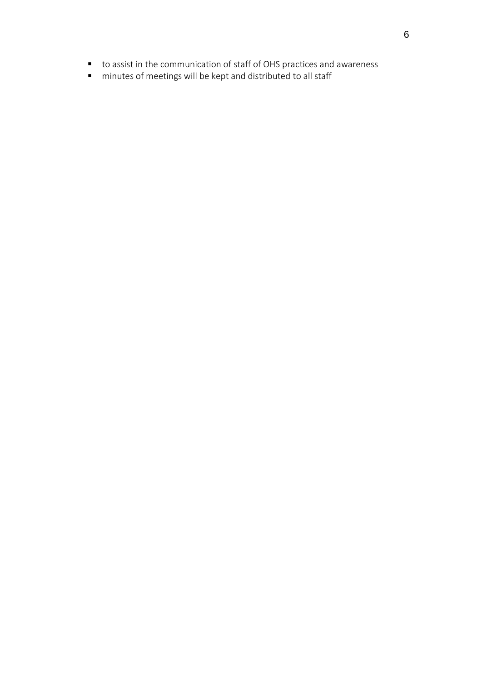- to assist in the communication of staff of OHS practices and awareness
- minutes of meetings will be kept and distributed to all staff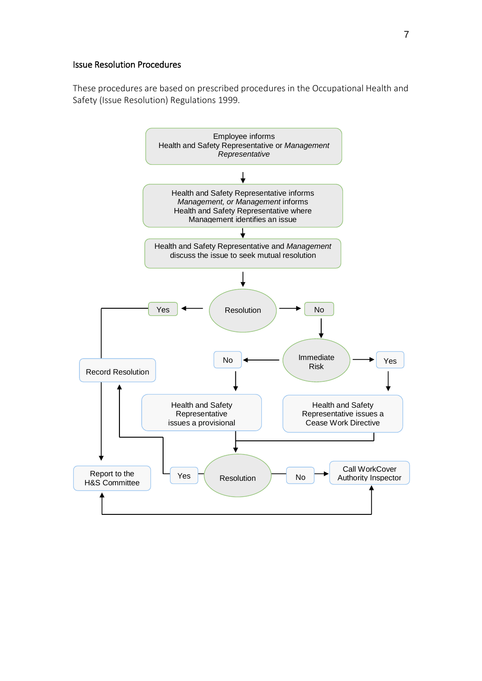#### Issue Resolution Procedures

These procedures are based on prescribed procedures in the Occupational Health and Safety (Issue Resolution) Regulations 1999.

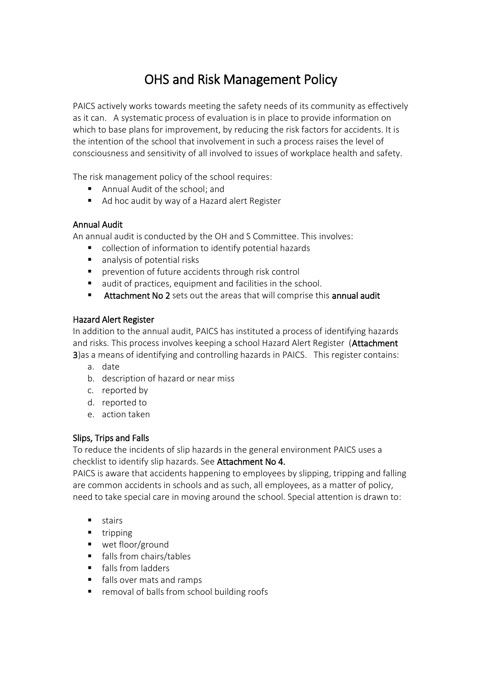## OHS and Risk Management Policy

PAICS actively works towards meeting the safety needs of its community as effectively as it can. A systematic process of evaluation is in place to provide information on which to base plans for improvement, by reducing the risk factors for accidents. It is the intention of the school that involvement in such a process raises the level of consciousness and sensitivity of all involved to issues of workplace health and safety.

The risk management policy of the school requires:

- Annual Audit of the school; and
- Ad hoc audit by way of a Hazard alert Register

### Annual Audit

An annual audit is conducted by the OH and S Committee. This involves:

- collection of information to identify potential hazards
- analysis of potential risks
- prevention of future accidents through risk control
- audit of practices, equipment and facilities in the school.
- Attachment No 2 sets out the areas that will comprise this annual audit

### Hazard Alert Register

In addition to the annual audit, PAICS has instituted a process of identifying hazards and risks. This process involves keeping a school Hazard Alert Register (Attachment 3)as a means of identifying and controlling hazards in PAICS. This register contains:

- a. date
- b. description of hazard or near miss
- c. reported by
- d. reported to
- e. action taken

## Slips, Trips and Falls

To reduce the incidents of slip hazards in the general environment PAICS uses a checklist to identify slip hazards. See Attachment No 4.

PAICS is aware that accidents happening to employees by slipping, tripping and falling are common accidents in schools and as such, all employees, as a matter of policy, need to take special care in moving around the school. Special attention is drawn to:

- **stairs**
- $\blacksquare$  tripping
- wet floor/ground
- **falls from chairs/tables**
- **falls from ladders**
- **falls over mats and ramps**
- **F** removal of balls from school building roofs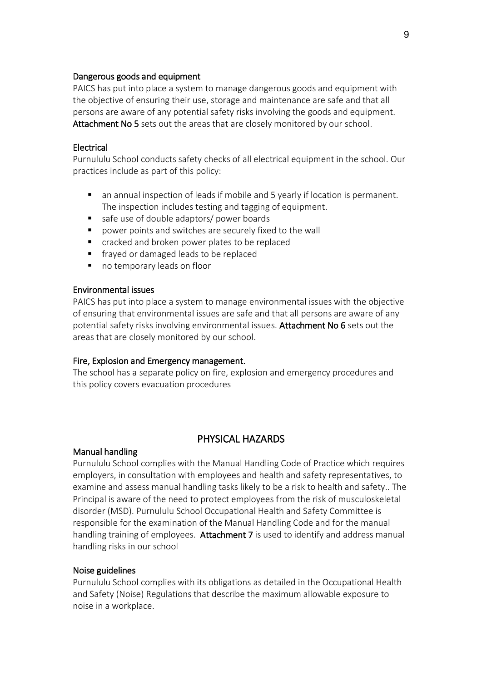#### Dangerous goods and equipment

PAICS has put into place a system to manage dangerous goods and equipment with the objective of ensuring their use, storage and maintenance are safe and that all persons are aware of any potential safety risks involving the goods and equipment. Attachment No 5 sets out the areas that are closely monitored by our school.

#### **Electrical**

Purnululu School conducts safety checks of all electrical equipment in the school. Our practices include as part of this policy:

- an annual inspection of leads if mobile and 5 yearly if location is permanent. The inspection includes testing and tagging of equipment.
- safe use of double adaptors/ power boards
- power points and switches are securely fixed to the wall
- cracked and broken power plates to be replaced
- **F** fraved or damaged leads to be replaced
- no temporary leads on floor

#### Environmental issues

PAICS has put into place a system to manage environmental issues with the objective of ensuring that environmental issues are safe and that all persons are aware of any potential safety risks involving environmental issues. Attachment No 6 sets out the areas that are closely monitored by our school.

#### Fire, Explosion and Emergency management.

The school has a separate policy on fire, explosion and emergency procedures and this policy covers evacuation procedures

### PHYSICAL HAZARDS

#### Manual handling

Purnululu School complies with the Manual Handling Code of Practice which requires employers, in consultation with employees and health and safety representatives, to examine and assess manual handling tasks likely to be a risk to health and safety.. The Principal is aware of the need to protect employees from the risk of musculoskeletal disorder (MSD). Purnululu School Occupational Health and Safety Committee is responsible for the examination of the Manual Handling Code and for the manual handling training of employees. Attachment 7 is used to identify and address manual handling risks in our school

#### Noise guidelines

Purnululu School complies with its obligations as detailed in the Occupational Health and Safety (Noise) Regulations that describe the maximum allowable exposure to noise in a workplace.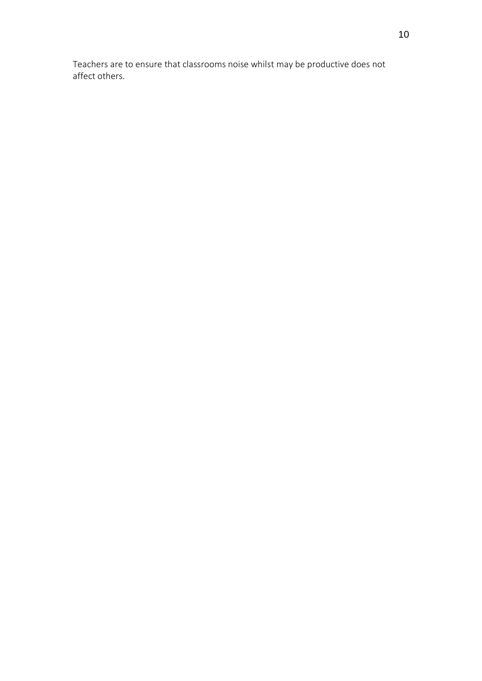Teachers are to ensure that classrooms noise whilst may be productive does not affect others.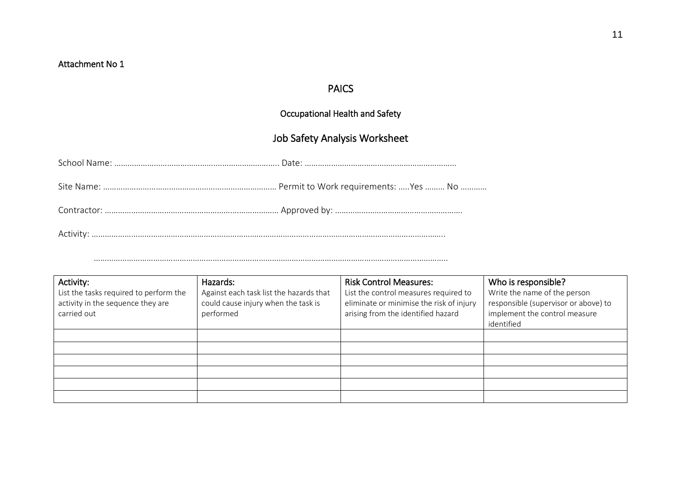## PAICS

## Occupational Health and Safety

## Job Safety Analysis Worksheet

……………………………………………………………………………………………………………………………………………..

| Activity:<br>List the tasks required to perform the<br>activity in the sequence they are<br>carried out | Hazards:<br>Against each task list the hazards that<br>could cause injury when the task is<br>performed | <b>Risk Control Measures:</b><br>List the control measures required to<br>eliminate or minimise the risk of injury<br>arising from the identified hazard | Who is responsible?<br>Write the name of the person<br>responsible (supervisor or above) to<br>implement the control measure<br>identified |
|---------------------------------------------------------------------------------------------------------|---------------------------------------------------------------------------------------------------------|----------------------------------------------------------------------------------------------------------------------------------------------------------|--------------------------------------------------------------------------------------------------------------------------------------------|
|                                                                                                         |                                                                                                         |                                                                                                                                                          |                                                                                                                                            |
|                                                                                                         |                                                                                                         |                                                                                                                                                          |                                                                                                                                            |
|                                                                                                         |                                                                                                         |                                                                                                                                                          |                                                                                                                                            |
|                                                                                                         |                                                                                                         |                                                                                                                                                          |                                                                                                                                            |
|                                                                                                         |                                                                                                         |                                                                                                                                                          |                                                                                                                                            |
|                                                                                                         |                                                                                                         |                                                                                                                                                          |                                                                                                                                            |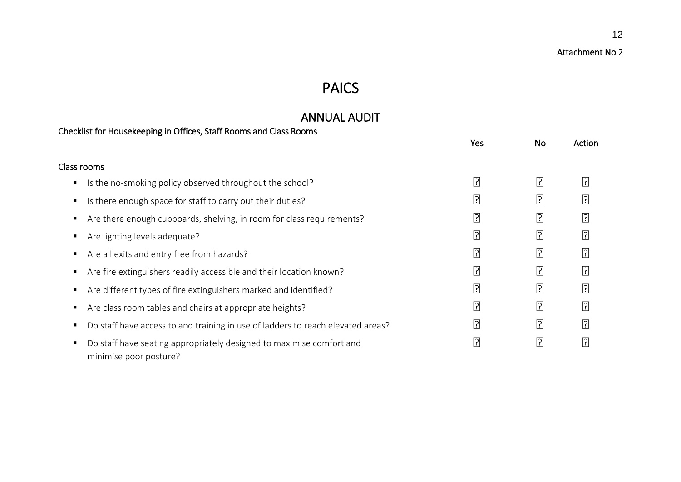## PAICS

## ANNUAL AUDIT

|   | Checklist for Housekeeping in Offices, Staff Rooms and Class Rooms                             |      |                |                |
|---|------------------------------------------------------------------------------------------------|------|----------------|----------------|
|   |                                                                                                | Yes  | No             | Action         |
|   | Class rooms                                                                                    |      |                |                |
| п | Is the no-smoking policy observed throughout the school?                                       | ิ้⊡ิ | $\boxed{?}$    | $\boxed{?}$    |
|   | Is there enough space for staff to carry out their duties?                                     | 인    | $\boxed{?}$    | $\boxed{?}$    |
|   | Are there enough cupboards, shelving, in room for class requirements?                          | ₽    | $\boxed{?}$    | $\boxed{?}$    |
|   | Are lighting levels adequate?                                                                  | 인    | 卪              | $\boxed{?}$    |
|   | Are all exits and entry free from hazards?                                                     | 퀴    | $\boxed{?}$    | $\boxed{?}$    |
|   | Are fire extinguishers readily accessible and their location known?                            | 민    | $\boxed{?}$    | ₽              |
|   | Are different types of fire extinguishers marked and identified?                               | 민    | $\boxed{?}$    | ₽              |
|   | Are class room tables and chairs at appropriate heights?                                       | ?    | $\overline{?}$ | $\boxed{?}$    |
|   | Do staff have access to and training in use of ladders to reach elevated areas?                | ?    | $\overline{?}$ | $\overline{?}$ |
|   | Do staff have seating appropriately designed to maximise comfort and<br>minimise poor posture? | 인    | $\overline{?}$ | $\boxed{?}$    |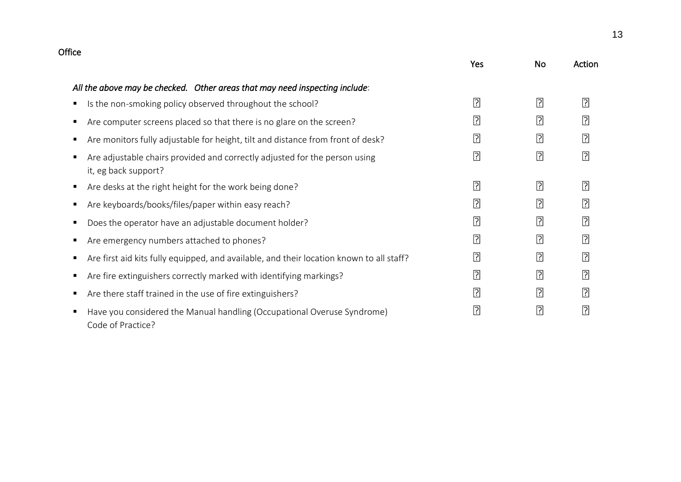| Office                                                                                                  |                |             |             |
|---------------------------------------------------------------------------------------------------------|----------------|-------------|-------------|
|                                                                                                         | Yes            | <b>No</b>   | Action      |
| All the above may be checked. Other areas that may need inspecting include:                             |                |             |             |
| Is the non-smoking policy observed throughout the school?<br>$\blacksquare$                             | $\boxed{?}$    | 卪           | 卪           |
| Are computer screens placed so that there is no glare on the screen?<br>п                               | $\boxed{?}$    | 卪           | $\boxed{?}$ |
| Are monitors fully adjustable for height, tilt and distance from front of desk?<br>п                    | $\boxed{?}$    | 卪           | 卪           |
| Are adjustable chairs provided and correctly adjusted for the person using<br>п<br>it, eg back support? | $\boxed{?}$    | <b></b>     | 卪           |
| Are desks at the right height for the work being done?<br>п                                             | $\boxed{?}$    | 卪           | 卪           |
| Are keyboards/books/files/paper within easy reach?<br>п                                                 | $\boxed{?}$    | 卪           | 卪           |
| Does the operator have an adjustable document holder?<br>п                                              | 卪              | 卪           | 卪           |
| Are emergency numbers attached to phones?<br>п                                                          | $\overline{?}$ | $\boxed{?}$ | 卪           |
| Are first aid kits fully equipped, and available, and their location known to all staff?<br>п           | $\boxed{?}$    | $\boxed{?}$ | 卪           |
| Are fire extinguishers correctly marked with identifying markings?<br>п                                 | $\boxed{?}$    | 卪           | 卪           |
| Are there staff trained in the use of fire extinguishers?<br>п                                          | $\boxed{?}$    | $\boxed{?}$ | 卪           |
| Have you considered the Manual handling (Occupational Overuse Syndrome)<br>л<br>Code of Practice?       | $\boxed{?}$    | <b></b>     | $\boxed{?}$ |

13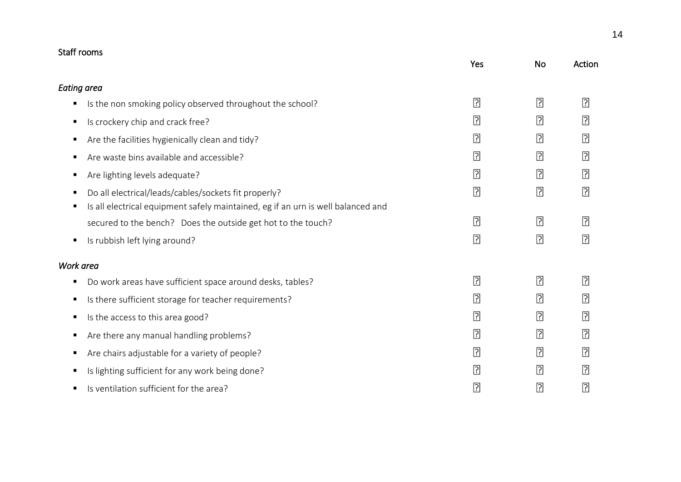| Staff rooms        |                                                                                  |                |                |                |
|--------------------|----------------------------------------------------------------------------------|----------------|----------------|----------------|
|                    |                                                                                  | Yes            | <b>No</b>      | Action         |
| <b>Eating area</b> |                                                                                  |                |                |                |
| п                  | Is the non smoking policy observed throughout the school?                        | 卪              | $\boxed{?}$    | $\boxed{?}$    |
| п                  | Is crockery chip and crack free?                                                 | 卪              | $\boxed{?}$    | 卪              |
| п                  | Are the facilities hygienically clean and tidy?                                  | 卪              | $\boxed{?}$    | $\boxed{?}$    |
| ٠                  | Are waste bins available and accessible?                                         | 卪              | $\boxed{?}$    | 卪              |
| п                  | Are lighting levels adequate?                                                    | 卪              | $\boxed{?}$    | $\boxed{?}$    |
| п                  | Do all electrical/leads/cables/sockets fit properly?                             | $\overline{?}$ | $\boxed{?}$    | $\overline{?}$ |
| п                  | Is all electrical equipment safely maintained, eg if an urn is well balanced and |                |                |                |
|                    | secured to the bench? Does the outside get hot to the touch?                     | $\boxed{?}$    | $\overline{?}$ | $\boxed{?}$    |
| п                  | Is rubbish left lying around?                                                    | $\boxed{?}$    | $\overline{?}$ | $\boxed{?}$    |
| Work area          |                                                                                  |                |                |                |
| п                  | Do work areas have sufficient space around desks, tables?                        | $\boxed{?}$    | $\boxed{?}$    | $\overline{?}$ |
| ٠                  | Is there sufficient storage for teacher requirements?                            | 卪              | $\boxed{?}$    | $\boxed{?}$    |
| п                  | Is the access to this area good?                                                 | 卪              | ₽              | 卪              |
| п                  | Are there any manual handling problems?                                          | 卪              | $\boxed{?}$    | $\boxed{?}$    |
| п                  | Are chairs adjustable for a variety of people?                                   | 卪              | $\boxed{?}$    | $\boxed{?}$    |
| ٠                  | Is lighting sufficient for any work being done?                                  | 卪              | $\boxed{?}$    | 卪              |
| п                  | Is ventilation sufficient for the area?                                          | 인              | $\boxed{?}$    | $\overline{?}$ |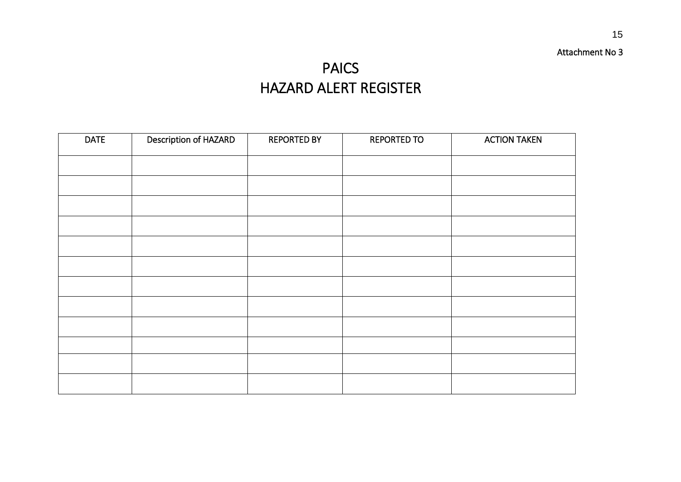### Attachment No 3

## PAICS HAZARD ALERT REGISTER

| <b>DATE</b> | Description of HAZARD | <b>REPORTED BY</b> | <b>REPORTED TO</b> | <b>ACTION TAKEN</b> |
|-------------|-----------------------|--------------------|--------------------|---------------------|
|             |                       |                    |                    |                     |
|             |                       |                    |                    |                     |
|             |                       |                    |                    |                     |
|             |                       |                    |                    |                     |
|             |                       |                    |                    |                     |
|             |                       |                    |                    |                     |
|             |                       |                    |                    |                     |
|             |                       |                    |                    |                     |
|             |                       |                    |                    |                     |
|             |                       |                    |                    |                     |
|             |                       |                    |                    |                     |
|             |                       |                    |                    |                     |
|             |                       |                    |                    |                     |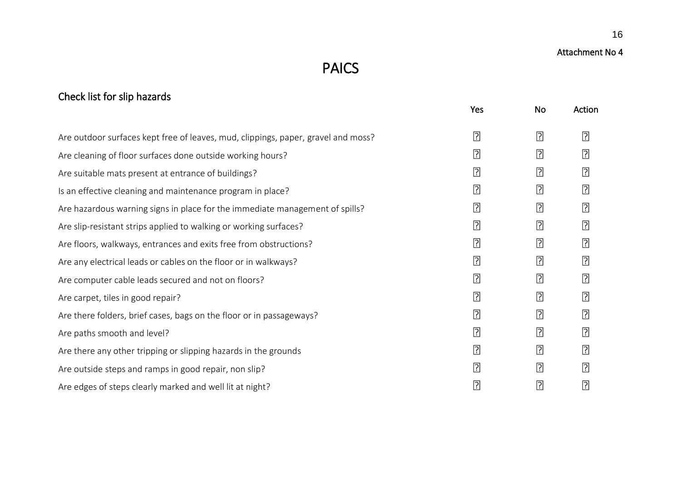## Check list for slip hazards

|                                                                                   | Yes            | No             | Action         |
|-----------------------------------------------------------------------------------|----------------|----------------|----------------|
| Are outdoor surfaces kept free of leaves, mud, clippings, paper, gravel and moss? | $\boxed{?}$    | $\overline{?}$ | 卪              |
| Are cleaning of floor surfaces done outside working hours?                        | $\boxed{?}$    | $\boxed{?}$    | ิ้⊡ิ           |
| Are suitable mats present at entrance of buildings?                               | $\overline{?}$ | $\boxed{?}$    | ิ้⊡ิ           |
| Is an effective cleaning and maintenance program in place?                        | $\overline{?}$ | $\boxed{?}$    | 면              |
| Are hazardous warning signs in place for the immediate management of spills?      | $\boxed{?}$    | $\boxed{?}$    | ᠒              |
| Are slip-resistant strips applied to walking or working surfaces?                 | $\overline{?}$ | $\overline{?}$ | 면              |
| Are floors, walkways, entrances and exits free from obstructions?                 | $\boxed{?}$    | $\boxed{?}$    | $\overline{?}$ |
| Are any electrical leads or cables on the floor or in walkways?                   | $\boxed{?}$    | $\overline{?}$ | ิ้⊡ิ           |
| Are computer cable leads secured and not on floors?                               | $\overline{?}$ | $\overline{?}$ | [?]            |
| Are carpet, tiles in good repair?                                                 | $\boxed{?}$    | $\boxed{?}$    | $\overline{?}$ |
| Are there folders, brief cases, bags on the floor or in passageways?              | 卪              | $\boxed{?}$    | 卪              |
| Are paths smooth and level?                                                       | $\boxed{?}$    | $\boxed{?}$    | <u>ြ</u>       |
| Are there any other tripping or slipping hazards in the grounds                   | $\boxed{?}$    | $\boxed{?}$    | 卪              |
| Are outside steps and ramps in good repair, non slip?                             | $\boxed{?}$    | $\boxed{?}$    | ิ้⊡ิ           |
| Are edges of steps clearly marked and well lit at night?                          | $\overline{?}$ | $\boxed{?}$    | 면              |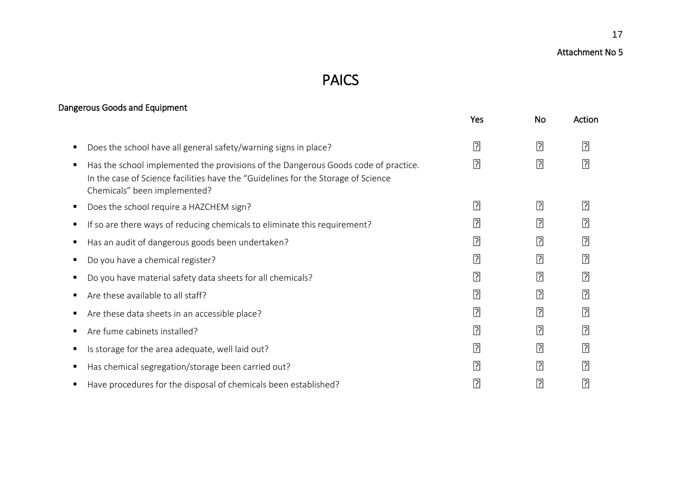## PAICS

## Dangerous Goods and Equipment

|                                                                                                                                                                                                         | Yes         | No             | Action      |
|---------------------------------------------------------------------------------------------------------------------------------------------------------------------------------------------------------|-------------|----------------|-------------|
| Does the school have all general safety/warning signs in place?                                                                                                                                         | $\boxed{?}$ | $\overline{?}$ | 卪           |
| Has the school implemented the provisions of the Dangerous Goods code of practice.<br>In the case of Science facilities have the "Guidelines for the Storage of Science<br>Chemicals" been implemented? | ิ ମି        | $\overline{?}$ | $\boxed{?}$ |
| Does the school require a HAZCHEM sign?                                                                                                                                                                 | 卪           | 卪              | $\boxed{?}$ |
| If so are there ways of reducing chemicals to eliminate this requirement?                                                                                                                               | ᠒           | 卪              | 괴           |
| Has an audit of dangerous goods been undertaken?                                                                                                                                                        | ᠒           | $\boxed{?}$    | $\boxed{?}$ |
| Do you have a chemical register?                                                                                                                                                                        | ᠒           | $\boxed{?}$    | $\boxed{?}$ |
| Do you have material safety data sheets for all chemicals?                                                                                                                                              | ᠒           | $\boxed{?}$    | $\boxed{?}$ |
| Are these available to all staff?                                                                                                                                                                       | ิ ମି        | $\overline{?}$ | ?           |
| Are these data sheets in an accessible place?                                                                                                                                                           | ᠒           | $\boxed{?}$    | ᠒           |
| Are fume cabinets installed?                                                                                                                                                                            | ᠒           | 卪              | 卪           |
| Is storage for the area adequate, well laid out?                                                                                                                                                        | ิ ମି        | $\overline{?}$ | ิ้⊡ิ        |
| Has chemical segregation/storage been carried out?                                                                                                                                                      | 卪           | 卪              | 卪           |
| Have procedures for the disposal of chemicals been established?                                                                                                                                         | ?           | ?              | ि           |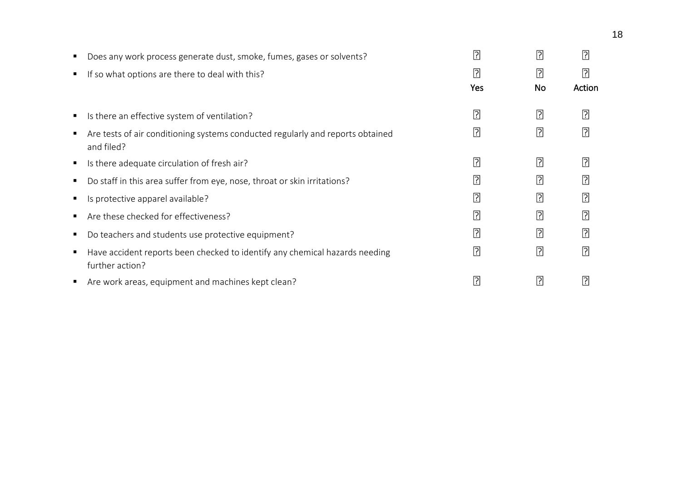| ٠ | Does any work process generate dust, smoke, fumes, gases or solvents?                          | $\overline{\cdot}$ | ?         | 卪      |
|---|------------------------------------------------------------------------------------------------|--------------------|-----------|--------|
| п | If so what options are there to deal with this?                                                | 卪                  | ₽         | 卪      |
|   |                                                                                                | <b>Yes</b>         | <b>No</b> | Action |
| п | Is there an effective system of ventilation?                                                   | <u>لى:</u>         | 인         | 卪      |
| п | Are tests of air conditioning systems conducted regularly and reports obtained<br>and filed?   | ?                  | ?         | 卪      |
| п | Is there adequate circulation of fresh air?                                                    | <u>P</u>           | ᠒         | 卪      |
| п | Do staff in this area suffer from eye, nose, throat or skin irritations?                       | [?]                | 인         | ᠒      |
| п | Is protective apparel available?                                                               | <u>P</u>           | ?         | ᠒      |
| п | Are these checked for effectiveness?                                                           | $\lceil$ ?         | 인         | 卪      |
| п | Do teachers and students use protective equipment?                                             | <u>P</u>           | <u>ြ</u>  | 卪      |
| Е | Have accident reports been checked to identify any chemical hazards needing<br>further action? | <u>P</u>           | 인         | ิ ि    |
| п | Are work areas, equipment and machines kept clean?                                             | P                  | <u>ר</u>  | ြု     |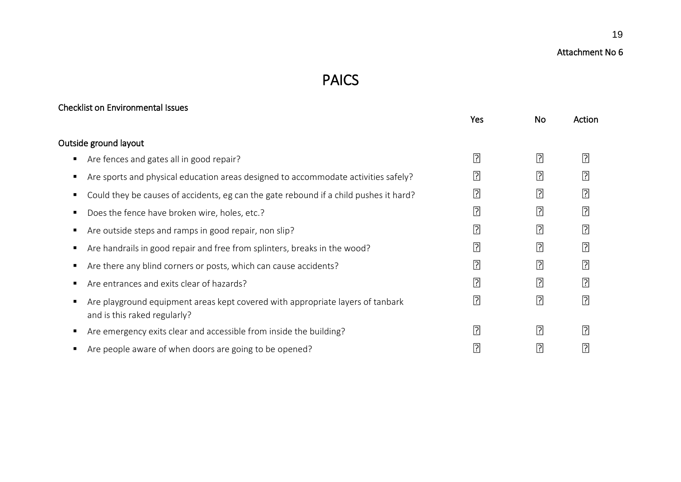## Attachment No 6

## PAICS

## Checklist on Environmental Issues

|                                                                                                                | <b>Yes</b> | <b>No</b>      | Action      |
|----------------------------------------------------------------------------------------------------------------|------------|----------------|-------------|
| Outside ground layout                                                                                          |            |                |             |
| Are fences and gates all in good repair?                                                                       | 인          | 卪              | $\boxed{?}$ |
| Are sports and physical education areas designed to accommodate activities safely?                             | 민          | $\boxed{?}$    | 卪           |
| Could they be causes of accidents, eg can the gate rebound if a child pushes it hard?                          | <u> P</u>  | 卪              | $\boxed{?}$ |
| Does the fence have broken wire, holes, etc.?                                                                  | 퀴          | $\overline{?}$ | $\boxed{?}$ |
| Are outside steps and ramps in good repair, non slip?                                                          | 퀴          | $\boxed{?}$    | 卪           |
| Are handrails in good repair and free from splinters, breaks in the wood?                                      | 민          | $\boxed{?}$    | 卪           |
| Are there any blind corners or posts, which can cause accidents?                                               | 인          | 卪              | $\boxed{?}$ |
| Are entrances and exits clear of hazards?                                                                      | 퀴          | $\boxed{?}$    | $\boxed{?}$ |
| Are playground equipment areas kept covered with appropriate layers of tanbark<br>and is this raked regularly? | 인          | $\boxed{?}$    | ₽           |
| Are emergency exits clear and accessible from inside the building?                                             | 퀴          | 卪              | 卪           |
| Are people aware of when doors are going to be opened?                                                         | ?          | 卪              | ᠒           |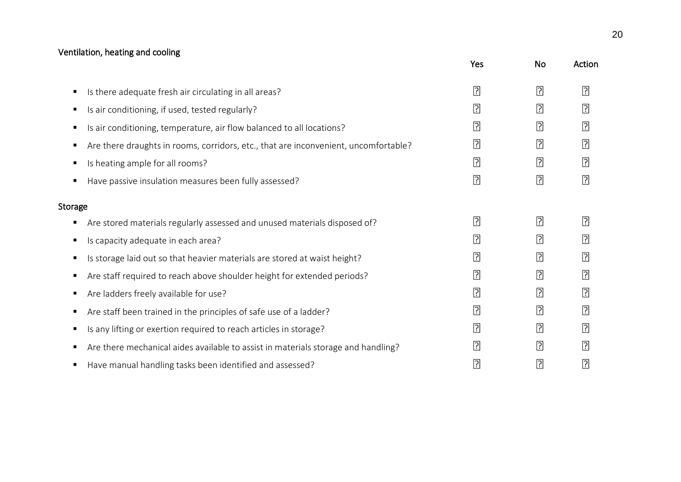## Ventilation, heating and cooling

|         |                                                                                     | Yes            | <b>No</b>      | Action         |
|---------|-------------------------------------------------------------------------------------|----------------|----------------|----------------|
| п       | Is there adequate fresh air circulating in all areas?                               | $\overline{?}$ | $\boxed{?}$    | $\boxed{?}$    |
| п       | Is air conditioning, if used, tested regularly?                                     | $\boxed{?}$    | $\boxed{?}$    | $\overline{?}$ |
| Е       | Is air conditioning, temperature, air flow balanced to all locations?               | $\boxed{?}$    | $\boxed{?}$    | 卪              |
| п       | Are there draughts in rooms, corridors, etc., that are inconvenient, uncomfortable? | 卪              | $\boxed{?}$    | 卪              |
| Е       | Is heating ample for all rooms?                                                     | $\boxed{?}$    | 卪              | 卪              |
| п       | Have passive insulation measures been fully assessed?                               | $\overline{?}$ | $\overline{?}$ | ?              |
| Storage |                                                                                     |                |                |                |
| п       | Are stored materials regularly assessed and unused materials disposed of?           | $\overline{?}$ | $\overline{?}$ | ิ้⊡ิ           |
| п       | Is capacity adequate in each area?                                                  | $\overline{?}$ | $\overline{?}$ | ₽              |
| п       | Is storage laid out so that heavier materials are stored at waist height?           | $\overline{?}$ | $\boxed{?}$    | $\overline{?}$ |
| п       | Are staff required to reach above shoulder height for extended periods?             | $\boxed{?}$    | $\boxed{?}$    | ᠒              |
| п       | Are ladders freely available for use?                                               | $\overline{?}$ | $\boxed{?}$    | ᠒              |
| п       | Are staff been trained in the principles of safe use of a ladder?                   | $\overline{?}$ | $\boxed{?}$    | ᠒              |
| п       | Is any lifting or exertion required to reach articles in storage?                   | 卪              | 卪              | 卪              |
| п       | Are there mechanical aides available to assist in materials storage and handling?   | $\boxed{?}$    | $\boxed{?}$    | ᠒              |
| п       | Have manual handling tasks been identified and assessed?                            | $\overline{?}$ | $\boxed{?}$    | ?              |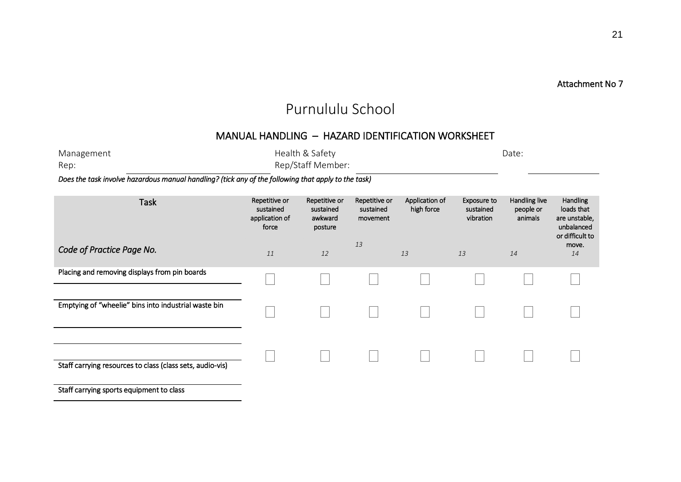#### Attachment No 7

## Purnululu School

## MANUAL HANDLING – HAZARD IDENTIFICATION WORKSHEET

| Management | Health & Safety                          | Date: |
|------------|------------------------------------------|-------|
| Rep:       | Rep/Staff Member:                        |       |
|            | the contract of the contract of the con- |       |

*Does the task involve hazardous manual handling? (tick any of the following that apply to the task)* 

| <b>Task</b><br>Code of Practice Page No.                  | Repetitive or<br>sustained<br>application of<br>force | Repetitive or<br>sustained<br>awkward<br>posture | Repetitive or<br>sustained<br>movement<br>13 | Application of<br>high force | Exposure to<br>sustained<br>vibration | Handling live<br>people or<br>animals | Handling<br>loads that<br>are unstable,<br>unbalanced<br>or difficult to<br>move. |
|-----------------------------------------------------------|-------------------------------------------------------|--------------------------------------------------|----------------------------------------------|------------------------------|---------------------------------------|---------------------------------------|-----------------------------------------------------------------------------------|
|                                                           | 11                                                    | 12                                               |                                              | 13                           | 13                                    | 14                                    | 14                                                                                |
| Placing and removing displays from pin boards             |                                                       |                                                  |                                              |                              |                                       |                                       |                                                                                   |
| Emptying of "wheelie" bins into industrial waste bin      |                                                       |                                                  |                                              |                              |                                       |                                       |                                                                                   |
| Staff carrying resources to class (class sets, audio-vis) |                                                       |                                                  |                                              |                              |                                       |                                       |                                                                                   |
| Staff carrying sports equipment to class                  |                                                       |                                                  |                                              |                              |                                       |                                       |                                                                                   |